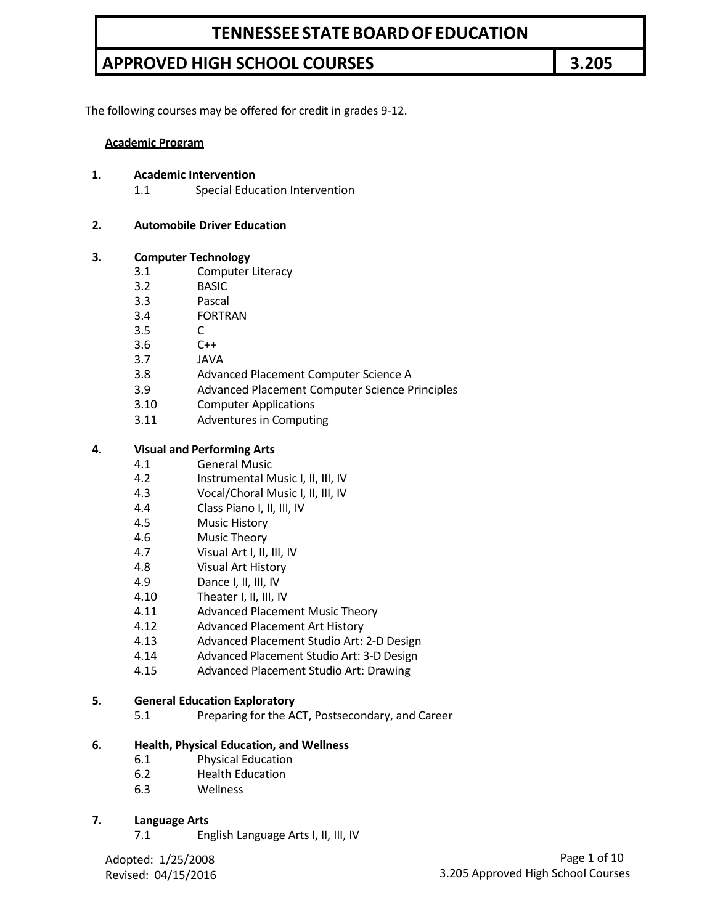The following courses may be offered for credit in grades 9-12.

#### **Academic Program**

#### **1. Academic Intervention**

1.1 Special Education Intervention

#### **2. Automobile Driver Education**

#### **3. Computer Technology**

- 3.1 Computer Literacy
- 3.2 BASIC
- 3.3 Pascal
- 3.4 FORTRAN
- 3.5 C
- 3.6 C++
- 3.7 JAVA
- 3.8 Advanced Placement Computer Science A
- 3.9 Advanced Placement Computer Science Principles
- 3.10 Computer Applications
- 3.11 Adventures in Computing

#### **4. Visual and Performing Arts**

- 4.1 General Music
- 4.2 Instrumental Music I, II, III, IV
- 4.3 Vocal/Choral Music I, II, III, IV
- 4.4 Class Piano I, II, III, IV
- 4.5 Music History
- 4.6 Music Theory
- 4.7 Visual Art I, II, III, IV
- 4.8 Visual Art History
- 4.9 Dance I, II, III, IV
- 4.10 Theater I, II, III, IV
- 4.11 Advanced Placement Music Theory
- 4.12 Advanced Placement Art History
- 4.13 Advanced Placement Studio Art: 2-D Design
- 4.14 Advanced Placement Studio Art: 3-D Design
- 4.15 Advanced Placement Studio Art: Drawing

#### **5. General Education Exploratory**

5.1 Preparing for the ACT, Postsecondary, and Career

#### **6. Health, Physical Education, and Wellness**

- 6.1 Physical Education
- 6.2 Health Education
- 6.3 Wellness

#### **7. Language Arts**

7.1 English Language Arts I, II, III, IV

Adopted: 1/25/2008 Revised: 04/15/2016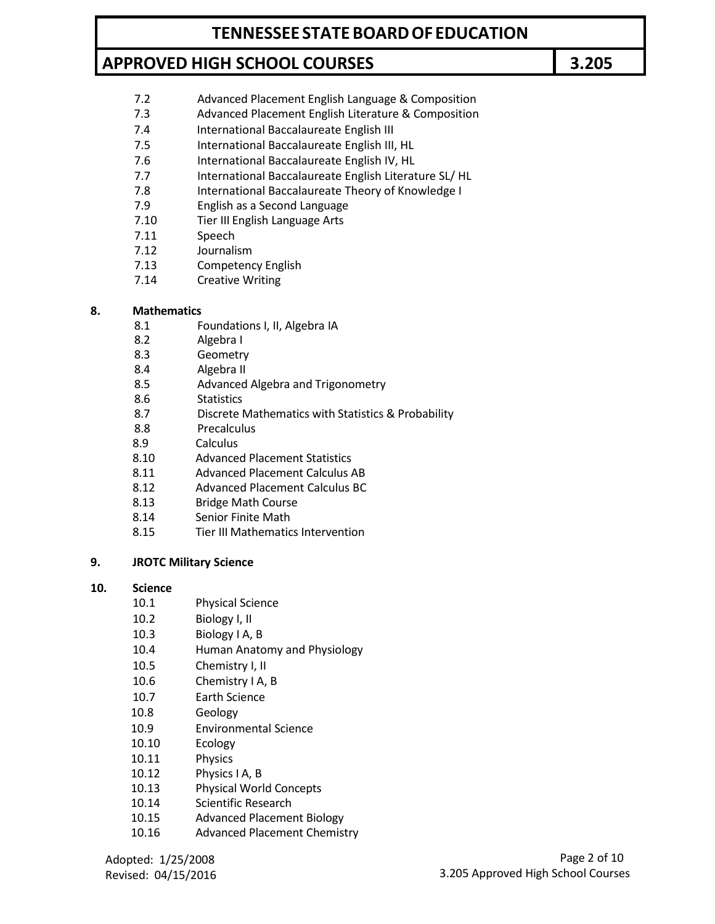- 7.2 Advanced Placement English Language & Composition
- 7.3 Advanced Placement English Literature & Composition
- 7.4 International Baccalaureate English III
- 7.5 International Baccalaureate English III, HL
- 7.6 International Baccalaureate English IV, HL
- 7.7 International Baccalaureate English Literature SL/ HL
- 7.8 International Baccalaureate Theory of Knowledge I
- 7.9 English as a Second Language
- 7.10 Tier III English Language Arts
- 7.11 Speech
- 7.12 Journalism
- 7.13 Competency English
- 7.14 Creative Writing

### **8. Mathematics**

- 8.1 Foundations I, II, Algebra IA
- 8.2 Algebra I
- 8.3 Geometry
- 8.4 Algebra II
- 8.5 Advanced Algebra and Trigonometry
- 8.6 Statistics
- 8.7 Discrete Mathematics with Statistics & Probability
- 8.8 Precalculus
- 8.9 Calculus
- 8.10 Advanced Placement Statistics
- 8.11 Advanced Placement Calculus AB
- 8.12 Advanced Placement Calculus BC
- 8.13 Bridge Math Course
- 8.14 Senior Finite Math
- 8.15 Tier III Mathematics Intervention

#### **9. JROTC Military Science**

#### **10. Science**

- 10.1 Physical Science
- 10.2 Biology I, II
- 10.3 Biology I A, B
- 10.4 Human Anatomy and Physiology
- 10.5 Chemistry I, II
- 10.6 Chemistry I A, B
- 10.7 Earth Science
- 10.8 Geology
- 10.9 Environmental Science
- 10.10 Ecology
- 10.11 Physics
- 10.12 Physics I A, B
- 10.13 Physical World Concepts
- 10.14 Scientific Research
- 10.15 Advanced Placement Biology
- 10.16 Advanced Placement Chemistry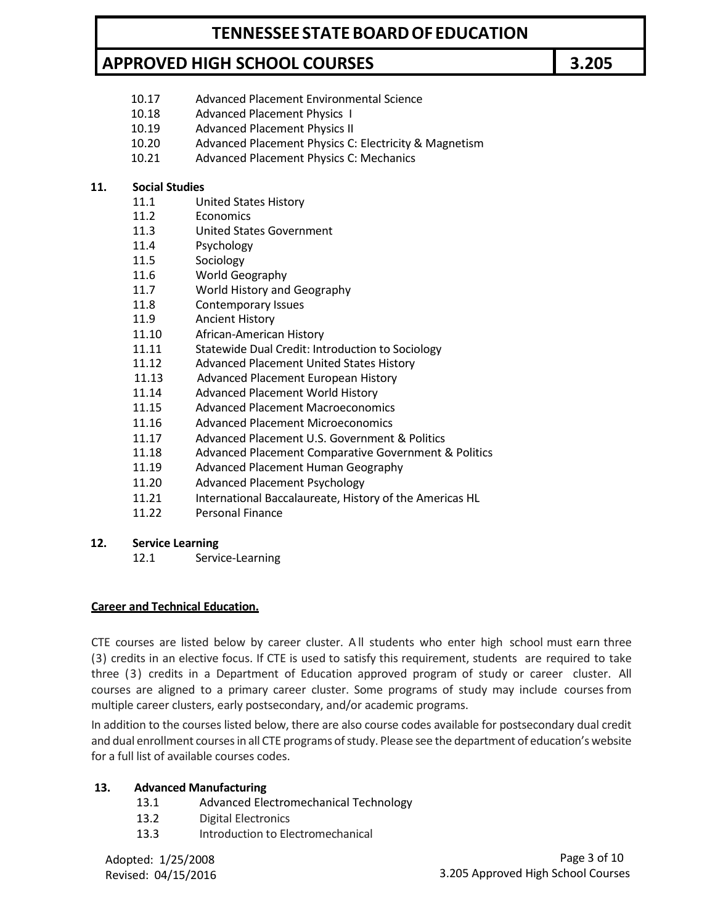- 10.17 Advanced Placement Environmental Science
- 10.18 Advanced Placement Physics I
- 10.19 Advanced Placement Physics II
- 10.20 Advanced Placement Physics C: Electricity & Magnetism
- 10.21 Advanced Placement Physics C: Mechanics

#### **11. Social Studies**

- 11.1 United States History
- 11.2 Economics
- 11.3 United States Government
- 11.4 Psychology
- 11.5 Sociology
- 11.6 World Geography
- 11.7 World History and Geography
- 11.8 Contemporary Issues
- 11.9 Ancient History
- 11.10 African-American History
- 11.11 Statewide Dual Credit: Introduction to Sociology
- 11.12 Advanced Placement United States History
- 11.13 Advanced Placement European History
- 11.14 Advanced Placement World History
- 11.15 Advanced Placement Macroeconomics
- 11.16 Advanced Placement Microeconomics
- 11.17 Advanced Placement U.S. Government & Politics
- 11.18 Advanced Placement Comparative Government & Politics
- 11.19 Advanced Placement Human Geography
- 11.20 Advanced Placement Psychology
- 11.21 International Baccalaureate, History of the Americas HL
- 11.22 Personal Finance

#### **12. Service Learning**

12.1 Service-Learning

#### **Career and Technical Education.**

CTE courses are listed below by career cluster. A ll students who enter high school must earn three (3) credits in an elective focus. If CTE is used to satisfy this requirement, students are required to take three (3) credits in a Department of Education approved program of study or career cluster. All courses are aligned to a primary career cluster. Some programs of study may include courses from multiple career clusters, early postsecondary, and/or academic programs.

In addition to the courses listed below, there are also course codes available for postsecondary dual credit and dual enrollment courses in all CTE programs of study. Please see the department of education's website for a full list of available courses codes.

### **13. Advanced Manufacturing**

- 13.1 Advanced Electromechanical Technology
- 13.2 Digital Electronics
- 13.3 Introduction to Electromechanical

Adopted: 1/25/2008 Revised: 04/15/2016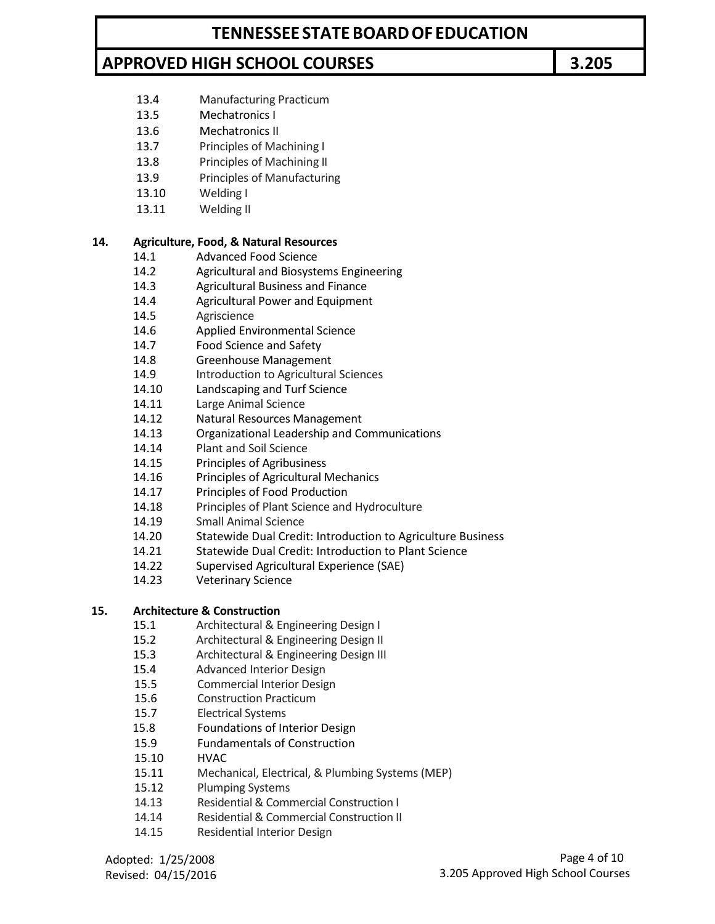13.4 Manufacturing Practicum

- 13.5 Mechatronics I
- 13.6 Mechatronics II
- 13.7 Principles of Machining I
- 13.8 Principles of Machining II
- 13.9 Principles of Manufacturing
- 13.10 Welding I
- 13.11 Welding II

### **14. Agriculture, Food, & Natural Resources**

- 14.1 Advanced Food Science
- 14.2 Agricultural and Biosystems Engineering
- 14.3 Agricultural Business and Finance
- 14.4 Agricultural Power and Equipment
- 14.5 Agriscience
- 14.6 Applied Environmental Science
- 14.7 Food Science and Safety
- 14.8 Greenhouse Management
- 14.9 **Introduction to Agricultural Sciences**
- 14.10 Landscaping and Turf Science
- 14.11 Large Animal Science
- 14.12 Natural Resources Management
- 14.13 Organizational Leadership and Communications
- 14.14 Plant and Soil Science
- 14.15 Principles of Agribusiness
- 14.16 Principles of Agricultural Mechanics
- 14.17 Principles of Food Production
- 14.18 Principles of Plant Science and Hydroculture
- 14.19 Small Animal Science
- 14.20 Statewide Dual Credit: Introduction to Agriculture Business
- 14.21 Statewide Dual Credit: Introduction to Plant Science
- 14.22 Supervised Agricultural Experience (SAE)
- 14.23 Veterinary Science

### **15. Architecture & Construction**

- 15.1 Architectural & Engineering Design I
- 15.2 Architectural & Engineering Design II
- 15.3 Architectural & Engineering Design III
- 15.4 Advanced Interior Design
- 15.5 Commercial Interior Design
- 15.6 Construction Practicum
- 15.7 Electrical Systems
- 15.8 Foundations of Interior Design
- 15.9 Fundamentals of Construction
- 15.10 HVAC
- 15.11 Mechanical, Electrical, & Plumbing Systems (MEP)
- 15.12 Plumping Systems
- 14.13 Residential & Commercial Construction I
- 14.14 Residential & Commercial Construction II
- 14.15 Residential Interior Design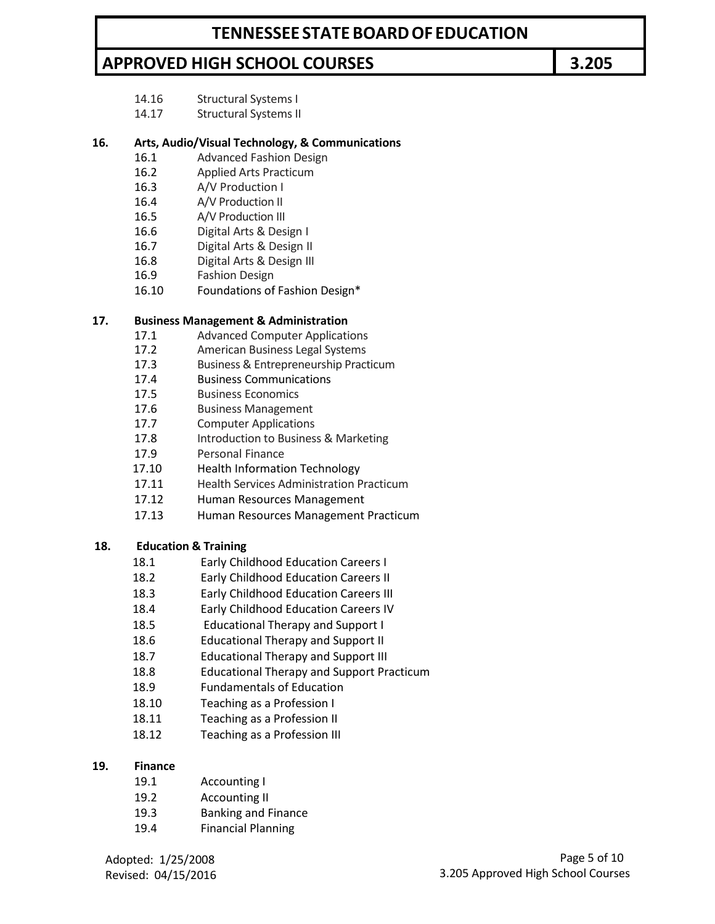- 14.16 Structural Systems I
- 14.17 Structural Systems II

### **16. Arts, Audio/Visual Technology, & Communications**

- 16.1 Advanced Fashion Design
- 16.2 Applied Arts Practicum
- 16.3 A/V Production I
- 16.4 A/V Production II
- 16.5 A/V Production III
- 16.6 Digital Arts & Design I
- 16.7 Digital Arts & Design II
- 16.8 Digital Arts & Design III
- 16.9 Fashion Design
- 16.10 Foundations of Fashion Design\*

#### **17. Business Management & Administration**

- 17.1 Advanced Computer Applications
- 17.2 American Business Legal Systems
- 17.3 Business & Entrepreneurship Practicum
- 17.4 Business Communications
- 17.5 Business Economics
- 17.6 Business Management
- 17.7 Computer Applications
- 17.8 Introduction to Business & Marketing
- 17.9 Personal Finance
- 17.10 Health Information Technology
- 17.11 Health Services Administration Practicum
- 17.12 Human Resources Management
- 17.13 Human Resources Management Practicum

#### **18. Education & Training**

- 18.1 Early Childhood Education Careers I
- 18.2 Early Childhood Education Careers II
- 18.3 Early Childhood Education Careers III
- 18.4 Early Childhood Education Careers IV
- 18.5 Educational Therapy and Support I
- 18.6 Educational Therapy and Support II
- 18.7 Educational Therapy and Support III
- 18.8 Educational Therapy and Support Practicum
- 18.9 Fundamentals of Education
- 18.10 Teaching as a Profession I
- 18.11 Teaching as a Profession II
- 18.12 Teaching as a Profession III

#### **19. Finance**

- 19.1 Accounting I
- 19.2 Accounting II
- 19.3 Banking and Finance
- 19.4 Financial Planning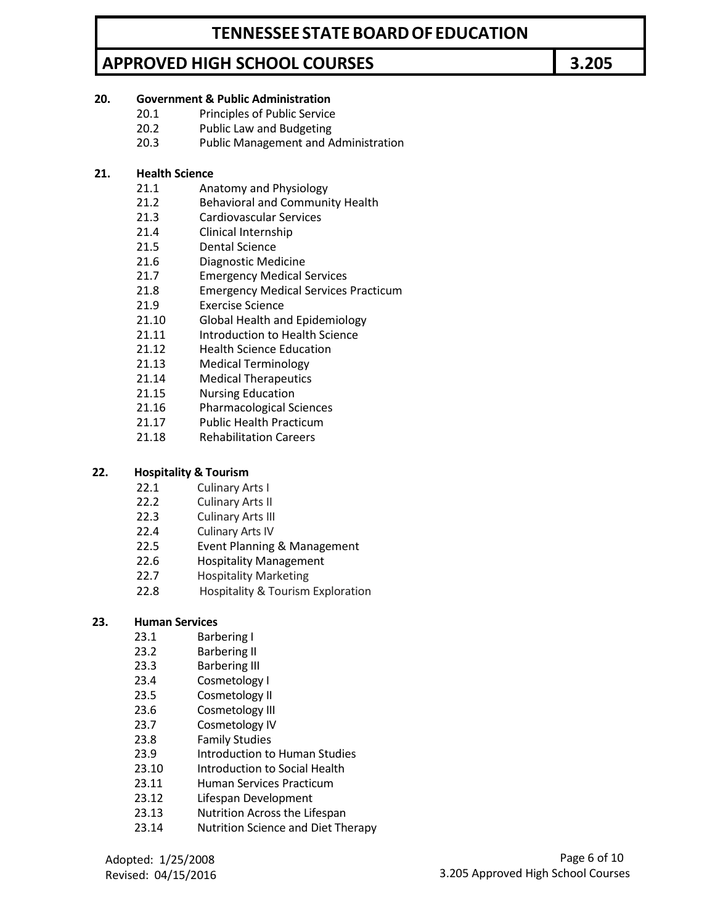### **20. Government & Public Administration**

- 20.1 Principles of Public Service
- 20.2 Public Law and Budgeting
- 20.3 Public Management and Administration

### **21. Health Science**

- 21.1 Anatomy and Physiology
- 21.2 Behavioral and Community Health
- 21.3 Cardiovascular Services
- 21.4 Clinical Internship
- 21.5 Dental Science
- 21.6 Diagnostic Medicine
- 21.7 Emergency Medical Services
- 21.8 Emergency Medical Services Practicum
- 21.9 Exercise Science
- 21.10 Global Health and Epidemiology
- 21.11 Introduction to Health Science
- 21.12 Health Science Education
- 21.13 Medical Terminology
- 21.14 Medical Therapeutics
- 21.15 Nursing Education
- 21.16 Pharmacological Sciences
- 21.17 Public Health Practicum
- 21.18 Rehabilitation Careers

#### **22. Hospitality & Tourism**

- 22.1 Culinary Arts I
- 22.2 Culinary Arts II
- 22.3 Culinary Arts III
- 22.4 Culinary Arts IV
- 22.5 Event Planning & Management
- 22.6 Hospitality Management
- 22.7 Hospitality Marketing
- 22.8 Hospitality & Tourism Exploration

#### **23. Human Services**

- 23.1 Barbering I
- 23.2 Barbering II
- 23.3 Barbering III
- 23.4 Cosmetology I
- 23.5 Cosmetology II
- 23.6 Cosmetology III
- 23.7 Cosmetology IV
- 23.8 Family Studies
- 23.9 Introduction to Human Studies
- 23.10 Introduction to Social Health
- 23.11 Human Services Practicum
- 23.12 Lifespan Development
- 23.13 Nutrition Across the Lifespan
- 23.14 Nutrition Science and Diet Therapy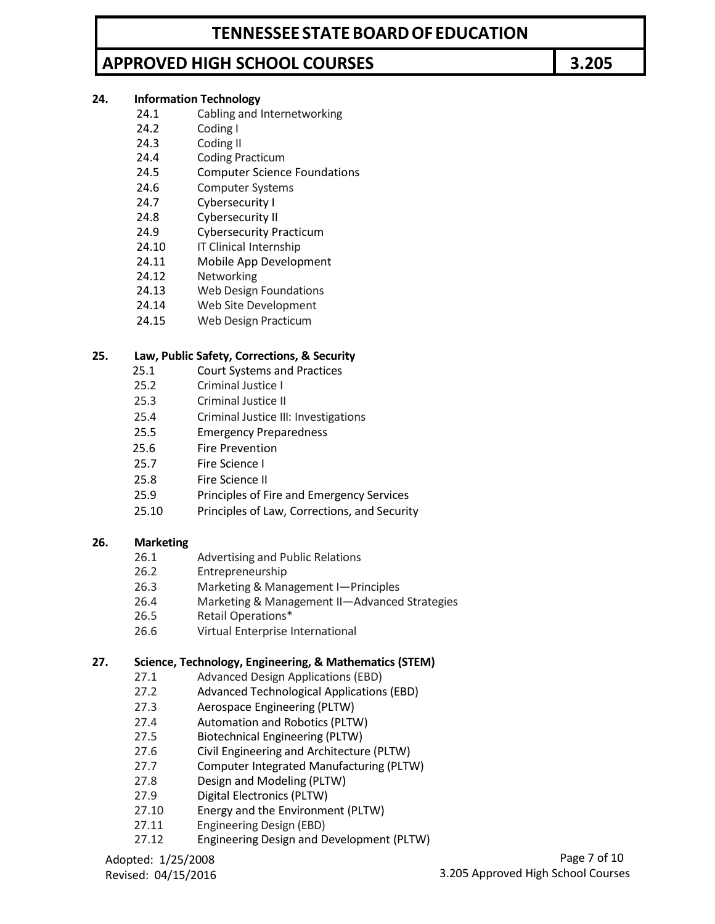### **TENNESSEE STATEBOARDOF EDUCATION**

# **APPROVED HIGH SCHOOL COURSES 3.205**

### **24. Information Technology**

- 24.1 Cabling and Internetworking
- 24.2 Coding I
- 24.3 Coding II
- 24.4 Coding Practicum
- 24.5 Computer Science Foundations
- 24.6 Computer Systems
- 24.7 Cybersecurity I
- 24.8 Cybersecurity II
- 24.9 Cybersecurity Practicum
- 24.10 **IT Clinical Internship**
- 24.11 Mobile App Development
- 24.12 Networking
- 24.13 Web Design Foundations
- 24.14 Web Site Development
- 24.15 Web Design Practicum

#### **25. Law, Public Safety, Corrections, & Security**

- 25.1 Court Systems and Practices
- 25.2 Criminal Justice I
- 25.3 Criminal Justice II
- 25.4 Criminal Justice III: Investigations
- 25.5 Emergency Preparedness
- 25.6 Fire Prevention
- 25.7 Fire Science I
- 25.8 Fire Science II
- 25.9 Principles of Fire and Emergency Services
- 25.10 Principles of Law, Corrections, and Security

#### **26. Marketing**

- 26.1 Advertising and Public Relations
- 26.2 Entrepreneurship
- 26.3 Marketing & Management I—Principles
- 26.4 Marketing & Management II—Advanced Strategies
- 26.5 Retail Operations\*
- 26.6 Virtual Enterprise International

#### **27. Science, Technology, Engineering, & Mathematics (STEM)**

- 27.1 Advanced Design Applications (EBD)
- 27.2 Advanced Technological Applications (EBD)
- 27.3 Aerospace Engineering (PLTW)
- 27.4 Automation and Robotics (PLTW)
- 27.5 Biotechnical Engineering (PLTW)
- 27.6 Civil Engineering and Architecture (PLTW)
- 27.7 Computer Integrated Manufacturing (PLTW)
- 27.8 Design and Modeling (PLTW)
- 27.9 Digital Electronics (PLTW)
- 27.10 Energy and the Environment (PLTW)
- 27.11 Engineering Design (EBD)
- 27.12 Engineering Design and Development (PLTW)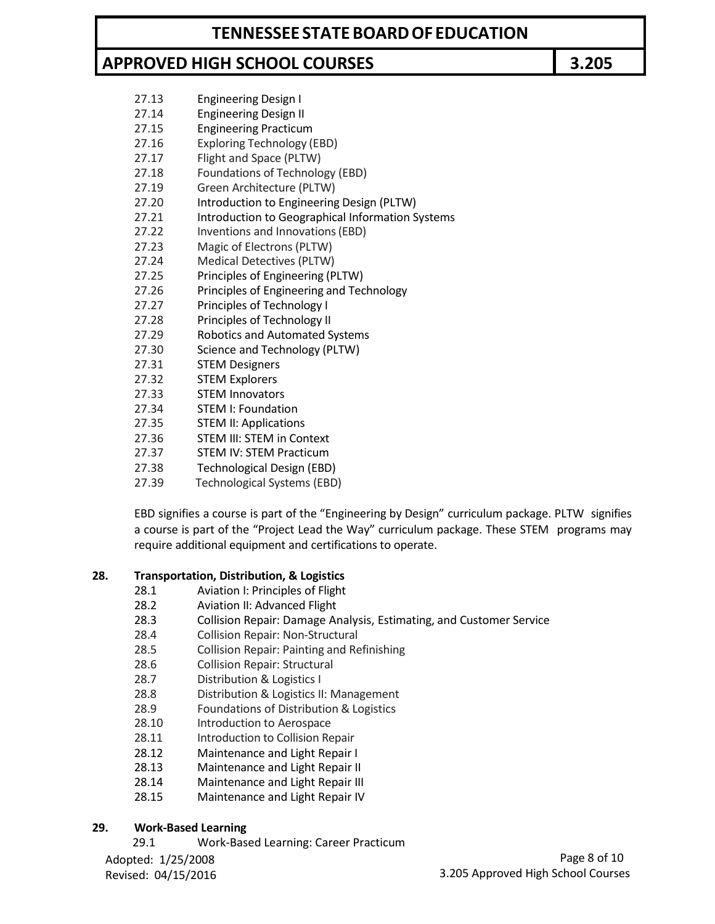- 27.13 Engineering Design I
- 27.14 Engineering Design II
- 27.15 Engineering Practicum
- 27.16 Exploring Technology (EBD) 27.17 Flight and Space (PLTW)
- 27.18 Foundations of Technology (EBD)
- 27.19 Green Architecture (PLTW)
- 27.20 Introduction to Engineering Design (PLTW)
- 27.21 Introduction to Geographical Information Systems
- 27.22 Inventions and Innovations(EBD)
- 27.23 Magic of Electrons (PLTW)
- 27.24 Medical Detectives (PLTW)
- 27.25 Principles of Engineering (PLTW)
- 27.26 Principles of Engineering and Technology
- 27.27 Principles of Technology I
- 27.28 Principles of Technology II
- 27.29 Robotics and Automated Systems
- 27.30 Science and Technology (PLTW)
- 27.31 STEM Designers
- 27.32 STEM Explorers
- 27.33 STEM Innovators
- 27.34 STEM I: Foundation
- 27.35 STEM II: Applications
- 27.36 STEM III: STEM in Context
- 27.37 STEM IV: STEM Practicum
- 27.38 Technological Design (EBD)
- 27.39 Technological Systems (EBD)

EBD signifies a course is part of the "Engineering by Design" curriculum package. PLTW signifies a course is part of the "Project Lead the Way" curriculum package. These STEM programs may require additional equipment and certifications to operate.

### **28. Transportation, Distribution, & Logistics**

- 28.1 Aviation I: Principles of Flight
- 28.2 Aviation II: Advanced Flight
- 28.3 Collision Repair: Damage Analysis, Estimating, and Customer Service
- 28.4 Collision Repair: Non-Structural
- 28.5 Collision Repair: Painting and Refinishing
- 28.6 Collision Repair: Structural
- 28.7 Distribution & Logistics I
- 28.8 Distribution & Logistics II: Management
- 28.9 Foundations of Distribution & Logistics
- 28.10 Introduction to Aerospace
- 28.11 Introduction to Collision Repair
- 28.12 Maintenance and Light Repair I
- 28.13 Maintenance and Light Repair II
- 28.14 Maintenance and Light Repair III
- 28.15 Maintenance and Light Repair IV

### **29. Work-Based Learning**

29.1 Work-Based Learning: Career Practicum

Adopted: 1/25/2008 Revised: 04/15/2016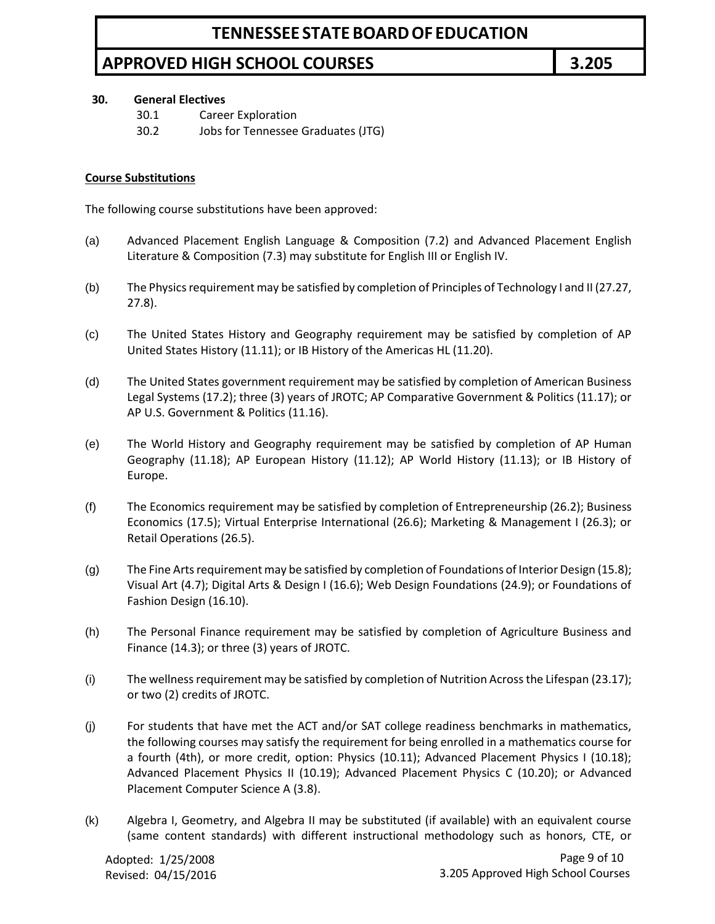#### **30. General Electives**

- 30.1 Career Exploration
- 30.2 Jobs for Tennessee Graduates (JTG)

### **Course Substitutions**

The following course substitutions have been approved:

- (a) Advanced Placement English Language & Composition (7.2) and Advanced Placement English Literature & Composition (7.3) may substitute for English III or English IV.
- (b) The Physics requirement may be satisfied by completion of Principles of Technology I and II (27.27, 27.8).
- (c) The United States History and Geography requirement may be satisfied by completion of AP United States History (11.11); or IB History of the Americas HL (11.20).
- (d) The United States government requirement may be satisfied by completion of American Business Legal Systems (17.2); three (3) years of JROTC; AP Comparative Government & Politics (11.17); or AP U.S. Government & Politics (11.16).
- (e) The World History and Geography requirement may be satisfied by completion of AP Human Geography (11.18); AP European History (11.12); AP World History (11.13); or IB History of Europe.
- (f) The Economics requirement may be satisfied by completion of Entrepreneurship (26.2); Business Economics (17.5); Virtual Enterprise International (26.6); Marketing & Management I (26.3); or Retail Operations (26.5).
- (g) The Fine Arts requirement may be satisfied by completion of Foundations of Interior Design (15.8); Visual Art (4.7); Digital Arts & Design I (16.6); Web Design Foundations (24.9); or Foundations of Fashion Design (16.10).
- (h) The Personal Finance requirement may be satisfied by completion of Agriculture Business and Finance (14.3); or three (3) years of JROTC.
- (i) The wellness requirement may be satisfied by completion of Nutrition Across the Lifespan (23.17); or two (2) credits of JROTC.
- (j) For students that have met the ACT and/or SAT college readiness benchmarks in mathematics, the following courses may satisfy the requirement for being enrolled in a mathematics course for a fourth (4th), or more credit, option: Physics (10.11); Advanced Placement Physics I (10.18); Advanced Placement Physics II (10.19); Advanced Placement Physics C (10.20); or Advanced Placement Computer Science A (3.8).
- (k) Algebra I, Geometry, and Algebra II may be substituted (if available) with an equivalent course (same content standards) with different instructional methodology such as honors, CTE, or